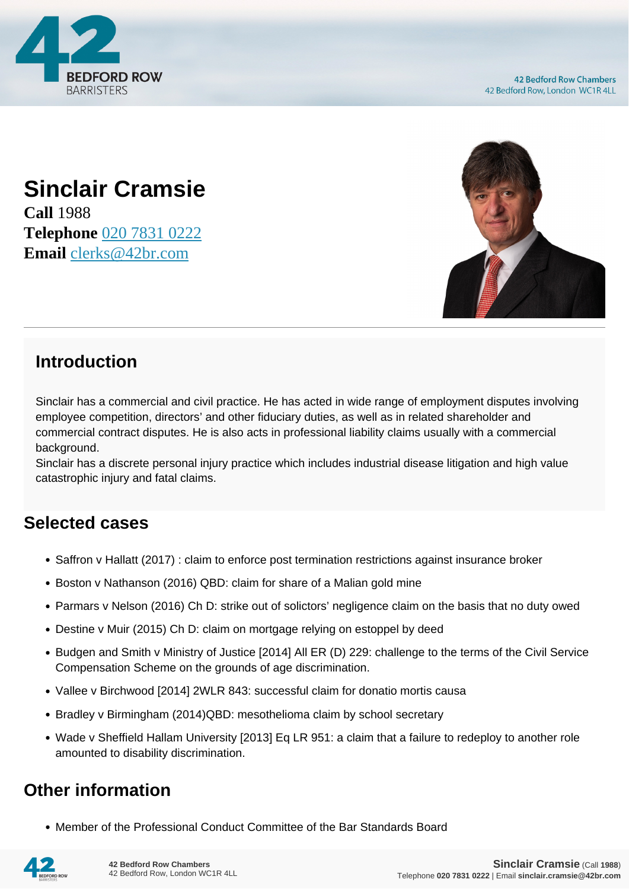



## **Sinclair Cramsie**

**Call** 1988 **Telephone** [020 7831 0222](https://pdf.codeshore.co/_42br/tel:020 7831 0222) **Email** [clerks@42br.com](mailto:clerks@42br.com)

## **Introduction**

Sinclair has a commercial and civil practice. He has acted in wide range of employment disputes involving employee competition, directors' and other fiduciary duties, as well as in related shareholder and commercial contract disputes. He is also acts in professional liability claims usually with a commercial background.

Sinclair has a discrete personal injury practice which includes industrial disease litigation and high value catastrophic injury and fatal claims.

## **Selected cases**

- Saffron v Hallatt (2017) : claim to enforce post termination restrictions against insurance broker
- Boston v Nathanson (2016) QBD: claim for share of a Malian gold mine
- Parmars v Nelson (2016) Ch D: strike out of solictors' negligence claim on the basis that no duty owed
- Destine v Muir (2015) Ch D: claim on mortgage relying on estoppel by deed
- Budgen and Smith v Ministry of Justice [2014] All ER (D) 229: challenge to the terms of the Civil Service Compensation Scheme on the grounds of age discrimination.
- Vallee v Birchwood [2014] 2WLR 843: successful claim for donatio mortis causa
- Bradley y Birmingham (2014)QBD: mesothelioma claim by school secretary
- Wade v Sheffield Hallam University [2013] Eq LR 951: a claim that a failure to redeploy to another role amounted to disability discrimination.

## **Other information**

Member of the Professional Conduct Committee of the Bar Standards Board